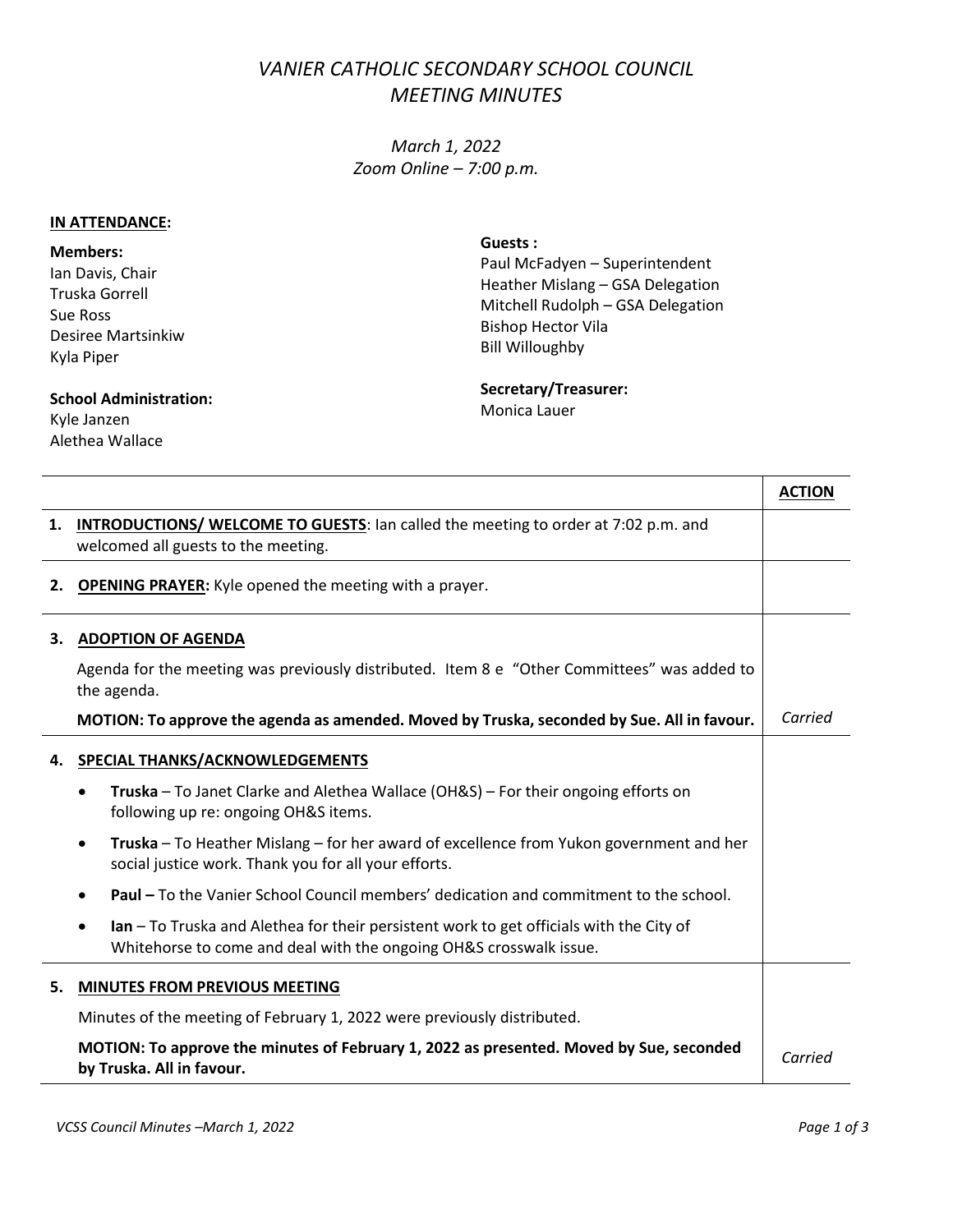## *VANIER CATHOLIC SECONDARY SCHOOL COUNCIL MEETING MINUTES*

*March 1, 2022 Zoom Online – 7:00 p.m.*

## **IN ATTENDANCE:**

**Members:** Ian Davis, Chair Truska Gorrell Sue Ross Desiree Martsinkiw Kyla Piper

**Guests :** Paul McFadyen – Superintendent Heather Mislang – GSA Delegation Mitchell Rudolph – GSA Delegation Bishop Hector Vila Bill Willoughby

## **School Administration:**  Kyle Janzen

Alethea Wallace

**Secretary/Treasurer:**

Monica Lauer

|    |                                                                                                                                                               | <b>ACTION</b> |  |
|----|---------------------------------------------------------------------------------------------------------------------------------------------------------------|---------------|--|
| 1. | <b>INTRODUCTIONS/ WELCOME TO GUESTS:</b> Ian called the meeting to order at 7:02 p.m. and<br>welcomed all guests to the meeting.                              |               |  |
| 2. | <b>OPENING PRAYER:</b> Kyle opened the meeting with a prayer.                                                                                                 |               |  |
| 3. | <b>ADOPTION OF AGENDA</b>                                                                                                                                     |               |  |
|    | Agenda for the meeting was previously distributed. Item 8 e "Other Committees" was added to<br>the agenda.                                                    |               |  |
|    | MOTION: To approve the agenda as amended. Moved by Truska, seconded by Sue. All in favour.                                                                    | Carried       |  |
| 4. | SPECIAL THANKS/ACKNOWLEDGEMENTS                                                                                                                               |               |  |
|    | Truska - To Janet Clarke and Alethea Wallace (OH&S) - For their ongoing efforts on<br>$\bullet$<br>following up re: ongoing OH&S items.                       |               |  |
|    | Truska – To Heather Mislang – for her award of excellence from Yukon government and her<br>$\bullet$<br>social justice work. Thank you for all your efforts.  |               |  |
|    | Paul - To the Vanier School Council members' dedication and commitment to the school.                                                                         |               |  |
|    | Ian - To Truska and Alethea for their persistent work to get officials with the City of<br>Whitehorse to come and deal with the ongoing OH&S crosswalk issue. |               |  |
| 5. | <b>MINUTES FROM PREVIOUS MEETING</b>                                                                                                                          |               |  |
|    | Minutes of the meeting of February 1, 2022 were previously distributed.                                                                                       |               |  |
|    | MOTION: To approve the minutes of February 1, 2022 as presented. Moved by Sue, seconded<br>by Truska. All in favour.                                          |               |  |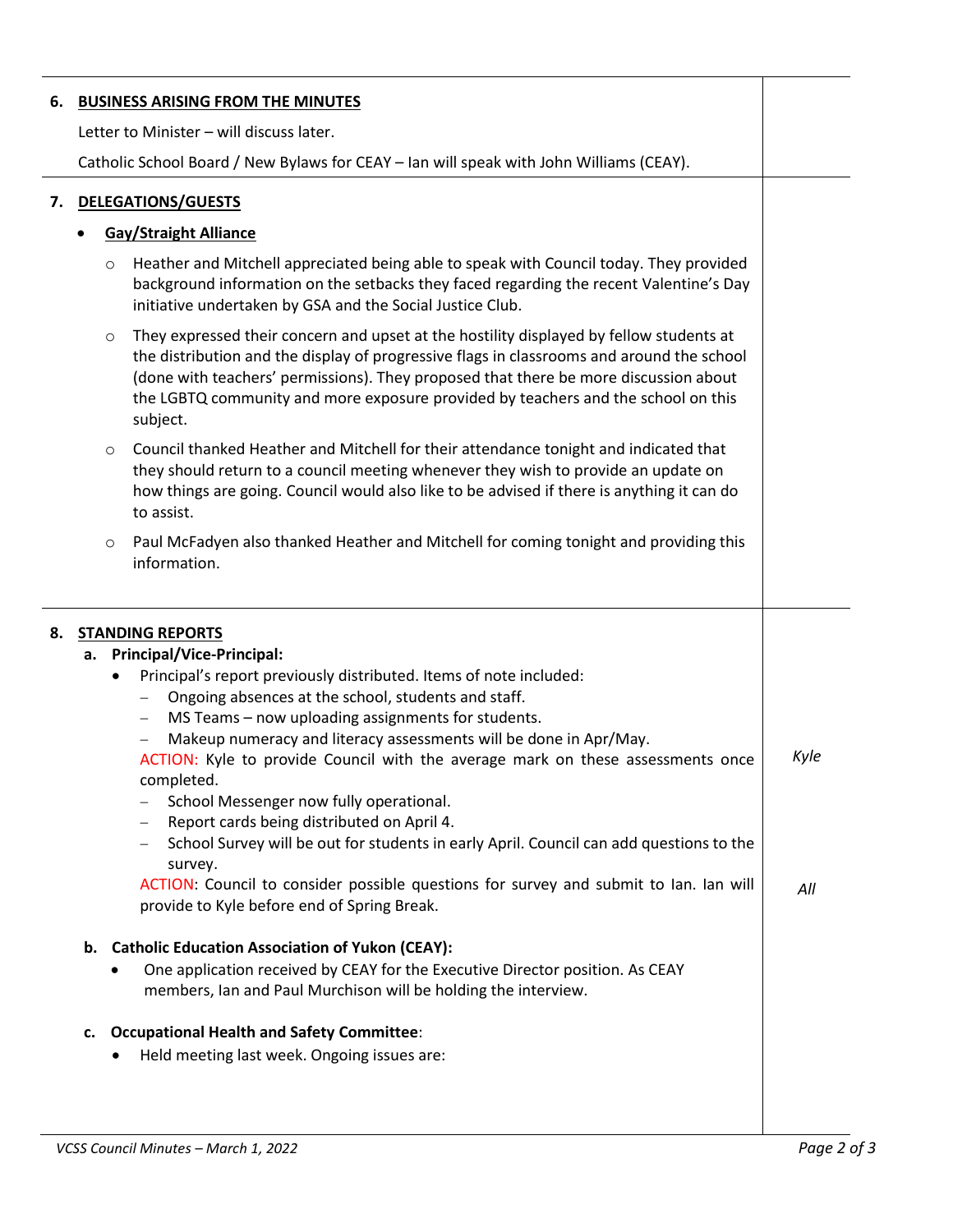| 6. |         |                                                                                                                                                                                                                                                                                                                                                                               |      |
|----|---------|-------------------------------------------------------------------------------------------------------------------------------------------------------------------------------------------------------------------------------------------------------------------------------------------------------------------------------------------------------------------------------|------|
|    |         | <b>BUSINESS ARISING FROM THE MINUTES</b>                                                                                                                                                                                                                                                                                                                                      |      |
|    |         | Letter to Minister - will discuss later.                                                                                                                                                                                                                                                                                                                                      |      |
|    |         | Catholic School Board / New Bylaws for CEAY - Ian will speak with John Williams (CEAY).                                                                                                                                                                                                                                                                                       |      |
|    |         |                                                                                                                                                                                                                                                                                                                                                                               |      |
| 7. |         | <b>DELEGATIONS/GUESTS</b>                                                                                                                                                                                                                                                                                                                                                     |      |
|    |         | <b>Gay/Straight Alliance</b>                                                                                                                                                                                                                                                                                                                                                  |      |
|    | $\circ$ | Heather and Mitchell appreciated being able to speak with Council today. They provided<br>background information on the setbacks they faced regarding the recent Valentine's Day<br>initiative undertaken by GSA and the Social Justice Club.                                                                                                                                 |      |
|    | $\circ$ | They expressed their concern and upset at the hostility displayed by fellow students at<br>the distribution and the display of progressive flags in classrooms and around the school<br>(done with teachers' permissions). They proposed that there be more discussion about<br>the LGBTQ community and more exposure provided by teachers and the school on this<br>subject. |      |
|    | $\circ$ | Council thanked Heather and Mitchell for their attendance tonight and indicated that<br>they should return to a council meeting whenever they wish to provide an update on<br>how things are going. Council would also like to be advised if there is anything it can do<br>to assist.                                                                                        |      |
|    | $\circ$ | Paul McFadyen also thanked Heather and Mitchell for coming tonight and providing this<br>information.                                                                                                                                                                                                                                                                         |      |
|    |         |                                                                                                                                                                                                                                                                                                                                                                               |      |
| 8. |         | <b>STANDING REPORTS</b>                                                                                                                                                                                                                                                                                                                                                       |      |
|    |         | a. Principal/Vice-Principal:                                                                                                                                                                                                                                                                                                                                                  |      |
|    |         | Principal's report previously distributed. Items of note included:                                                                                                                                                                                                                                                                                                            |      |
|    |         | Ongoing absences at the school, students and staff.                                                                                                                                                                                                                                                                                                                           |      |
|    |         | MS Teams - now uploading assignments for students.<br>$\overline{\phantom{m}}$                                                                                                                                                                                                                                                                                                |      |
|    |         | Makeup numeracy and literacy assessments will be done in Apr/May.<br>ACTION: Kyle to provide Council with the average mark on these assessments once                                                                                                                                                                                                                          | Kyle |
|    |         | completed.<br>School Messenger now fully operational.                                                                                                                                                                                                                                                                                                                         |      |
|    |         | Report cards being distributed on April 4.                                                                                                                                                                                                                                                                                                                                    |      |
|    |         | School Survey will be out for students in early April. Council can add questions to the<br>survey.                                                                                                                                                                                                                                                                            |      |
|    |         | ACTION: Council to consider possible questions for survey and submit to Ian. Ian will<br>provide to Kyle before end of Spring Break.                                                                                                                                                                                                                                          | All  |
|    |         |                                                                                                                                                                                                                                                                                                                                                                               |      |
|    |         | b. Catholic Education Association of Yukon (CEAY):<br>One application received by CEAY for the Executive Director position. As CEAY<br>members, Ian and Paul Murchison will be holding the interview.                                                                                                                                                                         |      |
|    | c.      | <b>Occupational Health and Safety Committee:</b>                                                                                                                                                                                                                                                                                                                              |      |

 $\overline{a}$ 

 $\overline{a}$